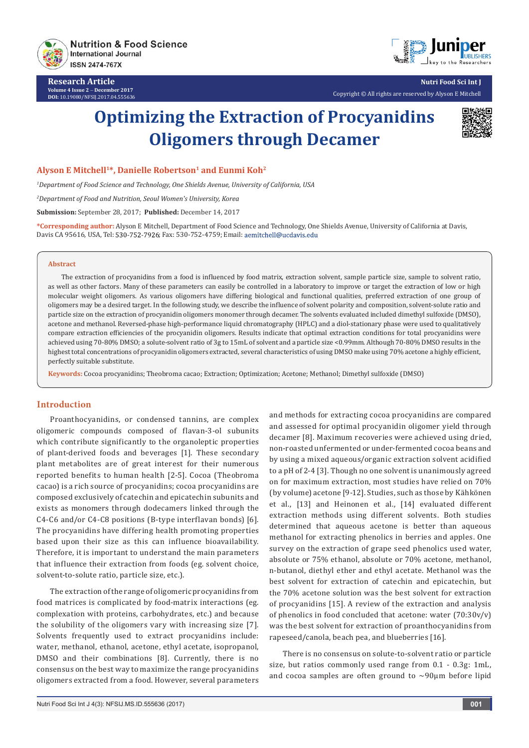

**Research Article Volume 4 Issue 2** - **December 2017 DOI:** [10.19080/NFSIJ.2017.04.555636](http://dx.doi.org/10.19080/NFSIJ.2017.04.555636)



**Nutri Food Sci Int J** Copyright © All rights are reserved by Alyson E Mitchell

# **Optimizing the Extraction of Procyanidins Oligomers through Decamer**



#### Alyson E Mitchell<sup>1\*</sup>, Danielle Robertson<sup>1</sup> and Eunmi Koh<sup>2</sup>

*1 Department of Food Science and Technology, One Shields Avenue, University of California, USA*

*2 Department of Food and Nutrition, Seoul Women's University, Korea*

**Submission:** September 28, 2017; **Published:** December 14, 2017

**\*Corresponding author:** Alyson E Mitchell, Department of Food Science and Technology, One Shields Avenue, University of California at Davis, Davis CA 95616, USA, Tel: 530-752-7926; Fax: 530-752-4759; Email: aemitchell@ucdavis.edu

#### **Abstract**

The extraction of procyanidins from a food is influenced by food matrix, extraction solvent, sample particle size, sample to solvent ratio, as well as other factors. Many of these parameters can easily be controlled in a laboratory to improve or target the extraction of low or high molecular weight oligomers. As various oligomers have differing biological and functional qualities, preferred extraction of one group of oligomers may be a desired target. In the following study, we describe the influence of solvent polarity and composition, solvent-solute ratio and particle size on the extraction of procyanidin oligomers monomer through decamer. The solvents evaluated included dimethyl sulfoxide (DMSO), acetone and methanol. Reversed-phase high-performance liquid chromatography (HPLC) and a diol-stationary phase were used to qualitatively compare extraction efficiencies of the procyanidin oligomers. Results indicate that optimal extraction conditions for total procyanidins were achieved using 70-80% DMSO; a solute-solvent ratio of 3g to 15mL of solvent and a particle size <0.99mm. Although 70-80% DMSO results in the highest total concentrations of procyanidin oligomers extracted, several characteristics of using DMSO make using 70% acetone a highly efficient, perfectly suitable substitute.

**Keywords:** Cocoa procyanidins; Theobroma cacao; Extraction; Optimization; Acetone; Methanol; Dimethyl sulfoxide (DMSO)

#### **Introduction**

Proanthocyanidins, or condensed tannins, are complex oligomeric compounds composed of flavan-3-ol subunits which contribute significantly to the organoleptic properties of plant-derived foods and beverages [1]. These secondary plant metabolites are of great interest for their numerous reported benefits to human health [2-5]. Cocoa (Theobroma cacao) is a rich source of procyanidins; cocoa procyanidins are composed exclusively of catechin and epicatechin subunits and exists as monomers through dodecamers linked through the C4-C6 and/or C4-C8 positions (B-type interflavan bonds) [6]. The procyanidins have differing health promoting properties based upon their size as this can influence bioavailability. Therefore, it is important to understand the main parameters that influence their extraction from foods (eg. solvent choice, solvent-to-solute ratio, particle size, etc.).

The extraction of the range of oligomeric procyanidins from food matrices is complicated by food-matrix interactions (eg. complexation with proteins, carbohydrates, etc.) and because the solubility of the oligomers vary with increasing size [7]. Solvents frequently used to extract procyanidins include: water, methanol, ethanol, acetone, ethyl acetate, isopropanol, DMSO and their combinations [8]. Currently, there is no consensus on the best way to maximize the range procyanidins oligomers extracted from a food. However, several parameters

and methods for extracting cocoa procyanidins are compared and assessed for optimal procyanidin oligomer yield through decamer [8]. Maximum recoveries were achieved using dried, non-roasted unfermented or under-fermented cocoa beans and by using a mixed aqueous/organic extraction solvent acidified to a pH of 2-4 [3]. Though no one solvent is unanimously agreed on for maximum extraction, most studies have relied on 70% (by volume) acetone [9-12]. Studies, such as those by Kӓhkӧnen et al., [13] and Heinonen et al., [14] evaluated different extraction methods using different solvents. Both studies determined that aqueous acetone is better than aqueous methanol for extracting phenolics in berries and apples. One survey on the extraction of grape seed phenolics used water, absolute or 75% ethanol, absolute or 70% acetone, methanol, n-butanol, diethyl ether and ethyl acetate. Methanol was the best solvent for extraction of catechin and epicatechin, but the 70% acetone solution was the best solvent for extraction of procyanidins [15]. A review of the extraction and analysis of phenolics in food concluded that acetone: water (70:30v/v) was the best solvent for extraction of proanthocyanidins from rapeseed/canola, beach pea, and blueberries [16].

There is no consensus on solute-to-solvent ratio or particle size, but ratios commonly used range from 0.1 - 0.3g: 1mL, and cocoa samples are often ground to  $\sim$ 90 $\mu$ m before lipid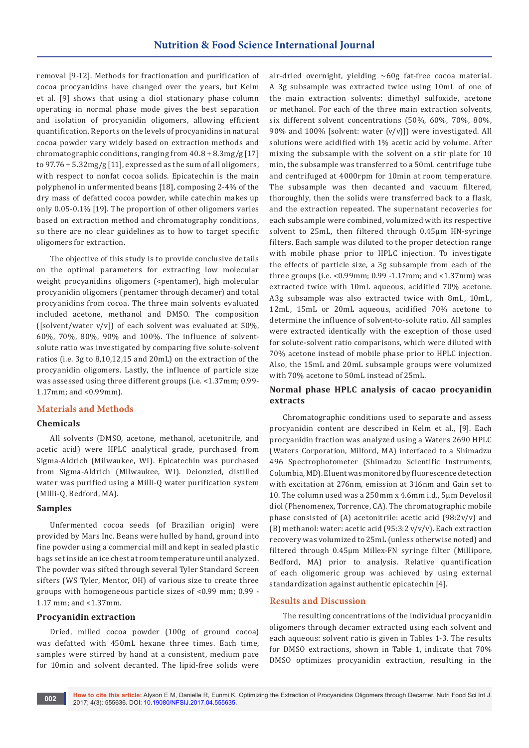removal [9-12]. Methods for fractionation and purification of cocoa procyanidins have changed over the years, but Kelm et al. [9] shows that using a diol stationary phase column operating in normal phase mode gives the best separation and isolation of procyanidin oligomers, allowing efficient quantification. Reports on the levels of procyanidins in natural cocoa powder vary widely based on extraction methods and chromatographic conditions, ranging from 40.8 + 8.3mg/g [17] to 97.76 + 5.32mg/g [11], expressed as the sum of all oligomers, with respect to nonfat cocoa solids. Epicatechin is the main polyphenol in unfermented beans [18], composing 2-4% of the dry mass of defatted cocoa powder, while catechin makes up only 0.05-0.1% [19]. The proportion of other oligomers varies based on extraction method and chromatography conditions, so there are no clear guidelines as to how to target specific oligomers for extraction.

The objective of this study is to provide conclusive details on the optimal parameters for extracting low molecular weight procyanidins oligomers (<pentamer), high molecular procyanidin oligomers (pentamer through decamer) and total procyanidins from cocoa. The three main solvents evaluated included acetone, methanol and DMSO. The composition ([solvent/water  $v/v$ ]) of each solvent was evaluated at 50%, 60%, 70%, 80%, 90% and 100%. The influence of solventsolute ratio was investigated by comparing five solute-solvent ratios (i.e. 3g to 8,10,12,15 and 20mL) on the extraction of the procyanidin oligomers. Lastly, the influence of particle size was assessed using three different groups (i.e. <1.37mm; 0.99- 1.17mm; and <0.99mm).

#### **Materials and Methods**

#### **Chemicals**

All solvents (DMSO, acetone, methanol, acetonitrile, and acetic acid) were HPLC analytical grade, purchased from Sigma-Aldrich (Milwaukee, WI). Epicatechin was purchased from Sigma-Aldrich (Milwaukee, WI). Deionzied, distilled water was purified using a Milli-Q water purification system (MIlli-Q, Bedford, MA).

#### **Samples**

Unfermented cocoa seeds (of Brazilian origin) were provided by Mars Inc. Beans were hulled by hand, ground into fine powder using a commercial mill and kept in sealed plastic bags set inside an ice chest at room temperature until analyzed. The powder was sifted through several Tyler Standard Screen sifters (WS Tyler, Mentor, OH) of various size to create three groups with homogeneous particle sizes of <0.99 mm; 0.99 - 1.17 mm; and <1.37mm.

#### **Procyanidin extraction**

Dried, milled cocoa powder (100g of ground cocoa) was defatted with 450mL hexane three times. Each time, samples were stirred by hand at a consistent, medium pace for 10min and solvent decanted. The lipid-free solids were

air-dried overnight, yielding ~60g fat-free cocoa material. A 3g subsample was extracted twice using 10mL of one of the main extraction solvents: dimethyl sulfoxide, acetone or methanol. For each of the three main extraction solvents, six different solvent concentrations (50%, 60%, 70%, 80%, 90% and 100% [solvent: water (v/v)]) were investigated. All solutions were acidified with 1% acetic acid by volume. After mixing the subsample with the solvent on a stir plate for 10 min, the subsample was transferred to a 50mL centrifuge tube and centrifuged at 4000rpm for 10min at room temperature. The subsample was then decanted and vacuum filtered, thoroughly, then the solids were transferred back to a flask, and the extraction repeated. The supernatant recoveries for each subsample were combined, volumized with its respective solvent to 25mL, then filtered through 0.45μm HN-syringe filters. Each sample was diluted to the proper detection range with mobile phase prior to HPLC injection. To investigate the effects of particle size, a 3g subsample from each of the three groups (i.e. <0.99mm; 0.99 -1.17mm; and <1.37mm) was extracted twice with 10mL aqueous, acidified 70% acetone. A3g subsample was also extracted twice with 8mL, 10mL, 12mL, 15mL or 20mL aqueous, acidified 70% acetone to determine the influence of solvent-to-solute ratio. All samples were extracted identically with the exception of those used for solute-solvent ratio comparisons, which were diluted with 70% acetone instead of mobile phase prior to HPLC injection. Also, the 15mL and 20mL subsample groups were volumized with 70% acetone to 50mL instead of 25mL.

#### **Normal phase HPLC analysis of cacao procyanidin extracts**

Chromatographic conditions used to separate and assess procyanidin content are described in Kelm et al., [9]. Each procyanidin fraction was analyzed using a Waters 2690 HPLC (Waters Corporation, Milford, MA) interfaced to a Shimadzu 496 Spectrophotometer (Shimadzu Scientific Instruments, Columbia, MD). Eluent was monitored by fluorescence detection with excitation at 276nm, emission at 316nm and Gain set to 10. The column used was a 250mm x 4.6mm i.d., 5μm Develosil diol (Phenomenex, Torrence, CA). The chromatographic mobile phase consisted of (A) acetonitrile: acetic acid (98:2v/v) and (B) methanol: water: acetic acid (95:3:2 v/v/v). Each extraction recovery was volumized to 25mL (unless otherwise noted) and filtered through 0.45μm Millex-FN syringe filter (Millipore, Bedford, MA) prior to analysis. Relative quantification of each oligomeric group was achieved by using external standardization against authentic epicatechin [4].

#### **Results and Discussion**

The resulting concentrations of the individual procyanidin oligomers through decamer extracted using each solvent and each aqueous: solvent ratio is given in Tables 1-3. The results for DMSO extractions, shown in Table 1, indicate that 70% DMSO optimizes procyanidin extraction, resulting in the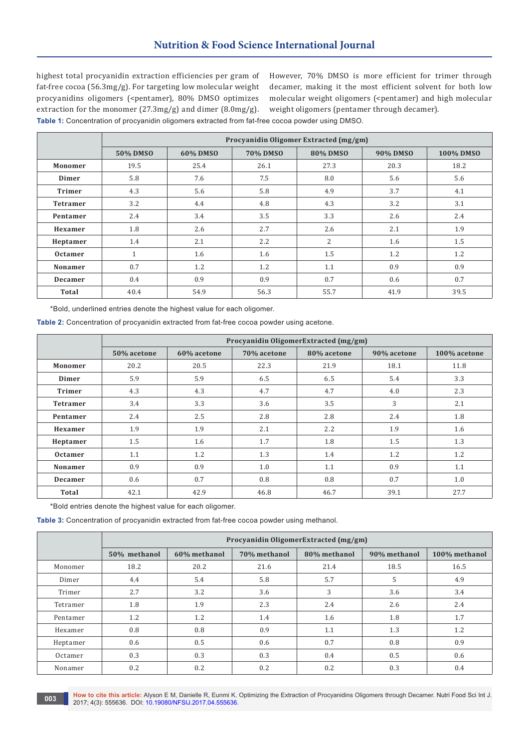highest total procyanidin extraction efficiencies per gram of fat-free cocoa (56.3mg/g). For targeting low molecular weight procyanidins oligomers (<pentamer), 80% DMSO optimizes extraction for the monomer (27.3mg/g) and dimer (8.0mg/g). **Table 1:** Concentration of procyanidin oligomers extracted from fat-free cocoa powder using DMSO.

However, 70% DMSO is more efficient for trimer through decamer, making it the most efficient solvent for both low molecular weight oligomers (<pentamer) and high molecular weight oligomers (pentamer through decamer).

|                 | Procyanidin Oligomer Extracted (mg/gm) |          |                 |                 |          |           |
|-----------------|----------------------------------------|----------|-----------------|-----------------|----------|-----------|
|                 | 50% DMSO                               | 60% DMSO | <b>70% DMSO</b> | <b>80% DMSO</b> | 90% DMSO | 100% DMSO |
| Monomer         | 19.5                                   | 25.4     | 26.1            | 27.3            | 20.3     | 18.2      |
| Dimer           | 5.8                                    | 7.6      | 7.5             | 8.0             | 5.6      | 5.6       |
| <b>Trimer</b>   | 4.3                                    | 5.6      | 5.8             | 4.9             | 3.7      | 4.1       |
| <b>Tetramer</b> | 3.2                                    | 4.4      | 4.8             | 4.3             | 3.2      | 3.1       |
| Pentamer        | 2.4                                    | 3.4      | 3.5             | 3.3             | 2.6      | 2.4       |
| Hexamer         | 1.8                                    | 2.6      | 2.7             | 2.6             | 2.1      | 1.9       |
| Heptamer        | 1.4                                    | 2.1      | 2.2             | $\overline{2}$  | 1.6      | 1.5       |
| <b>Octamer</b>  | $\mathbf{1}$                           | 1.6      | 1.6             | 1.5             | 1.2      | 1.2       |
| Nonamer         | 0.7                                    | 1.2      | 1.2             | 1.1             | 0.9      | 0.9       |
| <b>Decamer</b>  | 0.4                                    | 0.9      | 0.9             | 0.7             | 0.6      | 0.7       |
| <b>Total</b>    | 40.4                                   | 54.9     | 56.3            | 55.7            | 41.9     | 39.5      |

\*Bold, underlined entries denote the highest value for each oligomer.

**Table 2:** Concentration of procyanidin extracted from fat-free cocoa powder using acetone.

|                 | Procyanidin OligomerExtracted (mg/gm) |             |             |             |             |              |
|-----------------|---------------------------------------|-------------|-------------|-------------|-------------|--------------|
|                 | 50% acetone                           | 60% acetone | 70% acetone | 80% acetone | 90% acetone | 100% acetone |
| Monomer         | 20.2                                  | 20.5        | 22.3        | 21.9        | 18.1        | 11.8         |
| Dimer           | 5.9                                   | 5.9         | 6.5         | 6.5         | 5.4         | 3.3          |
| <b>Trimer</b>   | 4.3                                   | 4.3         | 4.7         | 4.7         | 4.0         | 2.3          |
| <b>Tetramer</b> | 3.4                                   | 3.3         | 3.6         | 3.5         | 3           | 2.1          |
| Pentamer        | 2.4                                   | 2.5         | 2.8         | 2.8         | 2.4         | 1.8          |
| Hexamer         | 1.9                                   | 1.9         | 2.1         | 2.2         | 1.9         | 1.6          |
| Heptamer        | 1.5                                   | 1.6         | 1.7         | 1.8         | 1.5         | 1.3          |
| <b>Octamer</b>  | 1.1                                   | 1.2         | 1.3         | 1.4         | 1.2         | 1.2          |
| Nonamer         | 0.9                                   | 0.9         | 1.0         | 1.1         | 0.9         | 1.1          |
| Decamer         | 0.6                                   | 0.7         | 0.8         | 0.8         | 0.7         | 1.0          |
| Total           | 42.1                                  | 42.9        | 46.8        | 46.7        | 39.1        | 27.7         |

\*Bold entries denote the highest value for each oligomer.

**Table 3:** Concentration of procyanidin extracted from fat-free cocoa powder using methanol.

|          | Procyanidin OligomerExtracted (mg/gm) |              |              |              |              |               |
|----------|---------------------------------------|--------------|--------------|--------------|--------------|---------------|
|          | 50% methanol                          | 60% methanol | 70% methanol | 80% methanol | 90% methanol | 100% methanol |
| Monomer  | 18.2                                  | 20.2         | 21.6         | 21.4         | 18.5         | 16.5          |
| Dimer    | 4.4                                   | 5.4          | 5.8          | 5.7          | 5            | 4.9           |
| Trimer   | 2.7                                   | 3.2          | 3.6          | 3            | 3.6          | 3.4           |
| Tetramer | 1.8                                   | 1.9          | 2.3          | 2.4          | 2.6          | 2.4           |
| Pentamer | 1.2                                   | 1.2          | 1.4          | 1.6          | 1.8          | 1.7           |
| Hexamer  | 0.8                                   | 0.8          | 0.9          | 1.1          | 1.3          | 1.2           |
| Heptamer | 0.6                                   | 0.5          | 0.6          | 0.7          | 0.8          | 0.9           |
| Octamer  | 0.3                                   | 0.3          | 0.3          | 0.4          | 0.5          | 0.6           |
| Nonamer  | 0.2                                   | 0.2          | 0.2          | 0.2          | 0.3          | 0.4           |

**How to cite this article:** Alyson E M, Danielle R, Eunmi K. Optimizing the Extraction of Procyanidins Oligomers through Decamer. Nutri Food Sci Int J. **2017**; 4(3): 555636. DOI: [10.19080/NFSIJ.2017.04.555636.](http://dx.doi.org/10.19080/NFSIJ.2017.04.555636) **001:** 10.19080/NFSIJ.2017.04.555636.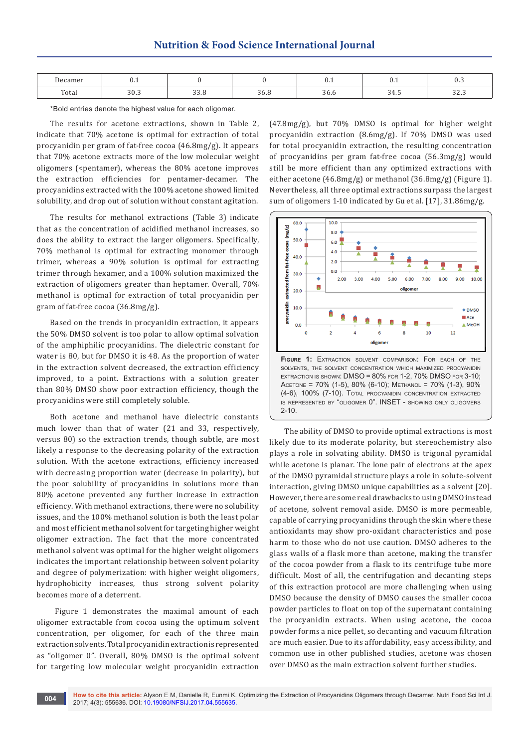| Decamer | ∪.⊥         |                       |             | ∪.⊥                   | $v \cdot r$                      | $v \cdot v$               |
|---------|-------------|-----------------------|-------------|-----------------------|----------------------------------|---------------------------|
| Total   | 200<br>JU.J | $\sim$ $\sim$<br>JJ.U | ∼<br>$   -$ | $\sim$ $\sim$<br>30.0 | $\leq$ $\Delta$ .<br><b>JT.J</b> | $\sim$<br>. 14<br>$- - -$ |

\*Bold entries denote the highest value for each oligomer.

The results for acetone extractions, shown in Table 2, indicate that 70% acetone is optimal for extraction of total procyanidin per gram of fat-free cocoa (46.8mg/g). It appears that 70% acetone extracts more of the low molecular weight oligomers (<pentamer), whereas the 80% acetone improves the extraction efficiencies for pentamer-decamer. The procyanidins extracted with the 100% acetone showed limited solubility, and drop out of solution without constant agitation.

The results for methanol extractions (Table 3) indicate that as the concentration of acidified methanol increases, so does the ability to extract the larger oligomers. Specifically, 70% methanol is optimal for extracting monomer through trimer, whereas a 90% solution is optimal for extracting trimer through hexamer, and a 100% solution maximized the extraction of oligomers greater than heptamer. Overall, 70% methanol is optimal for extraction of total procyanidin per gram of fat-free cocoa (36.8mg/g).

Based on the trends in procyanidin extraction, it appears the 50% DMSO solvent is too polar to allow optimal solvation of the amphiphilic procyanidins. The dielectric constant for water is 80, but for DMSO it is 48. As the proportion of water in the extraction solvent decreased, the extraction efficiency improved, to a point. Extractions with a solution greater than 80% DMSO show poor extraction efficiency, though the procyanidins were still completely soluble.

Both acetone and methanol have dielectric constants much lower than that of water (21 and 33, respectively, versus 80) so the extraction trends, though subtle, are most likely a response to the decreasing polarity of the extraction solution. With the acetone extractions, efficiency increased with decreasing proportion water (decrease in polarity), but the poor solubility of procyanidins in solutions more than 80% acetone prevented any further increase in extraction efficiency. With methanol extractions, there were no solubility issues, and the 100% methanol solution is both the least polar and most efficient methanol solvent for targeting higher weight oligomer extraction. The fact that the more concentrated methanol solvent was optimal for the higher weight oligomers indicates the important relationship between solvent polarity and degree of polymerization: with higher weight oligomers, hydrophobicity increases, thus strong solvent polarity becomes more of a deterrent.

 Figure 1 demonstrates the maximal amount of each oligomer extractable from cocoa using the optimum solvent concentration, per oligomer, for each of the three main extraction solvents. Total procyanidin extraction is represented as "oligomer 0". Overall, 80% DMSO is the optimal solvent for targeting low molecular weight procyanidin extraction

(47.8mg/g), but 70% DMSO is optimal for higher weight procyanidin extraction (8.6mg/g). If 70% DMSO was used for total procyanidin extraction, the resulting concentration of procyanidins per gram fat-free cocoa (56.3mg/g) would still be more efficient than any optimized extractions with either acetone (46.8mg/g) or methanol (36.8mg/g) (Figure 1). Nevertheless, all three optimal extractions surpass the largest sum of oligomers 1-10 indicated by Gu et al. [17], 31.86mg/g.



solvents, the solvent concentration which maximized procyanidin extraction is shown: DMSO = 80% for 1-2, 70% DMSO for 3-10; Acetone = 70% (1-5), 80% (6-10); Methanol = 70% (1-3), 90% (4-6), 100% (7-10). Total procyanidin concentration extracted is represented by "oligomer 0". INSET - showing only oligomers 2-10.

 The ability of DMSO to provide optimal extractions is most likely due to its moderate polarity, but stereochemistry also plays a role in solvating ability. DMSO is trigonal pyramidal while acetone is planar. The lone pair of electrons at the apex of the DMSO pyramidal structure plays a role in solute-solvent interaction, giving DMSO unique capabilities as a solvent [20]. However, there are some real drawbacks to using DMSO instead of acetone, solvent removal aside. DMSO is more permeable, capable of carrying procyanidins through the skin where these antioxidants may show pro-oxidant characteristics and pose harm to those who do not use caution. DMSO adheres to the glass walls of a flask more than acetone, making the transfer of the cocoa powder from a flask to its centrifuge tube more difficult. Most of all, the centrifugation and decanting steps of this extraction protocol are more challenging when using DMSO because the density of DMSO causes the smaller cocoa powder particles to float on top of the supernatant containing the procyanidin extracts. When using acetone, the cocoa powder forms a nice pellet, so decanting and vacuum filtration are much easier. Due to its affordability, easy accessibility, and common use in other published studies, acetone was chosen over DMSO as the main extraction solvent further studies.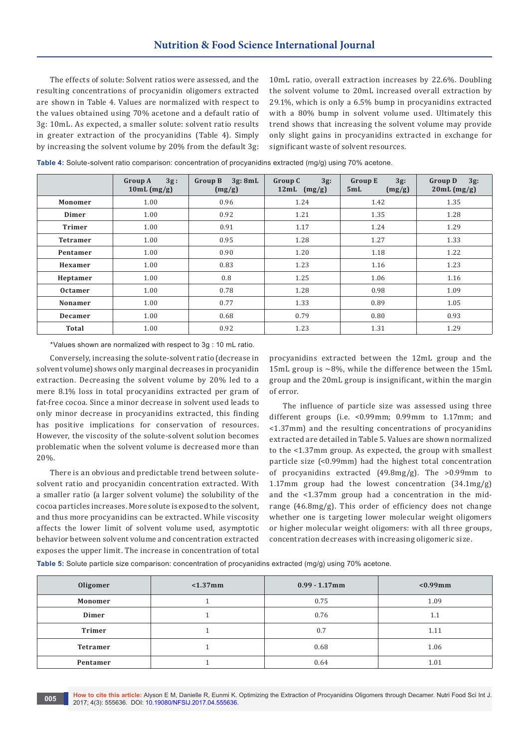The effects of solute: Solvent ratios were assessed, and the resulting concentrations of procyanidin oligomers extracted are shown in Table 4. Values are normalized with respect to the values obtained using 70% acetone and a default ratio of 3g: 10mL. As expected, a smaller solute: solvent ratio results in greater extraction of the procyanidins (Table 4). Simply by increasing the solvent volume by 20% from the default 3g:

10mL ratio, overall extraction increases by 22.6%. Doubling the solvent volume to 20mL increased overall extraction by 29.1%, which is only a 6.5% bump in procyanidins extracted with a 80% bump in solvent volume used. Ultimately this trend shows that increasing the solvent volume may provide only slight gains in procyanidins extracted in exchange for significant waste of solvent resources.

| Table 4: Solute-solvent ratio comparison: concentration of procyanidins extracted (mg/g) using 70% acetone. |  |
|-------------------------------------------------------------------------------------------------------------|--|
|-------------------------------------------------------------------------------------------------------------|--|

|                 | <b>Group A</b><br>3g:<br>10mL (mg/g) | 3g: 8mL<br><b>Group B</b><br>(mg/g) | $3g$ :<br><b>Group C</b><br>12 $mL$ (mg/g) | $3g$ :<br><b>Group E</b><br>5mL<br>(mg/g) | $3g$ :<br><b>Group D</b><br>20mL (mg/g) |
|-----------------|--------------------------------------|-------------------------------------|--------------------------------------------|-------------------------------------------|-----------------------------------------|
| Monomer         | 1.00                                 | 0.96                                | 1.24                                       | 1.42                                      | 1.35                                    |
| Dimer           | 1.00                                 | 0.92                                | 1.21                                       | 1.35                                      | 1.28                                    |
| <b>Trimer</b>   | 1.00                                 | 0.91                                | 1.17                                       | 1.24                                      | 1.29                                    |
| <b>Tetramer</b> | 1.00                                 | 0.95                                | 1.28                                       | 1.27                                      | 1.33                                    |
| Pentamer        | 1.00                                 | 0.90                                | 1.20                                       | 1.18                                      | 1.22                                    |
| Hexamer         | 1.00                                 | 0.83                                | 1.23                                       | 1.16                                      | 1.23                                    |
| Heptamer        | 1.00                                 | 0.8                                 | 1.25                                       | 1.06                                      | 1.16                                    |
| <b>Octamer</b>  | 1.00                                 | 0.78                                | 1.28                                       | 0.98                                      | 1.09                                    |
| Nonamer         | 1.00                                 | 0.77                                | 1.33                                       | 0.89                                      | 1.05                                    |
| <b>Decamer</b>  | 1.00                                 | 0.68                                | 0.79                                       | 0.80                                      | 0.93                                    |
| <b>Total</b>    | 1.00                                 | 0.92                                | 1.23                                       | 1.31                                      | 1.29                                    |

\*Values shown are normalized with respect to 3g : 10 mL ratio.

Conversely, increasing the solute-solvent ratio (decrease in solvent volume) shows only marginal decreases in procyanidin extraction. Decreasing the solvent volume by 20% led to a mere 8.1% loss in total procyanidins extracted per gram of fat-free cocoa. Since a minor decrease in solvent used leads to only minor decrease in procyanidins extracted, this finding has positive implications for conservation of resources. However, the viscosity of the solute-solvent solution becomes problematic when the solvent volume is decreased more than 20%.

There is an obvious and predictable trend between solutesolvent ratio and procyanidin concentration extracted. With a smaller ratio (a larger solvent volume) the solubility of the cocoa particles increases. More solute is exposed to the solvent, and thus more procyanidins can be extracted. While viscosity affects the lower limit of solvent volume used, asymptotic behavior between solvent volume and concentration extracted exposes the upper limit. The increase in concentration of total

procyanidins extracted between the 12mL group and the 15mL group is  $\sim$ 8%, while the difference between the 15mL group and the 20mL group is insignificant, within the margin of error.

The influence of particle size was assessed using three different groups (i.e. <0.99mm; 0.99mm to 1.17mm; and <1.37mm) and the resulting concentrations of procyanidins extracted are detailed in Table 5. Values are shown normalized to the <1.37mm group. As expected, the group with smallest particle size (<0.99mm) had the highest total concentration of procyanidins extracted (49.8mg/g). The >0.99mm to 1.17mm group had the lowest concentration (34.1mg/g) and the <1.37mm group had a concentration in the midrange (46.8mg/g). This order of efficiency does not change whether one is targeting lower molecular weight oligomers or higher molecular weight oligomers: with all three groups, concentration decreases with increasing oligomeric size.

**Table 5:** Solute particle size comparison: concentration of procyanidins extracted (mg/g) using 70% acetone.

| Oligomer        | $< 1.37$ mm | $0.99 - 1.17$ mm | $<0.99$ mm |
|-----------------|-------------|------------------|------------|
| Monomer         |             | 0.75             | 1.09       |
| Dimer           |             | 0.76             | 1.1        |
| <b>Trimer</b>   |             | 0.7              | 1.11       |
| <b>Tetramer</b> |             | 0.68             | 1.06       |
| Pentamer        |             | 0.64             | 1.01       |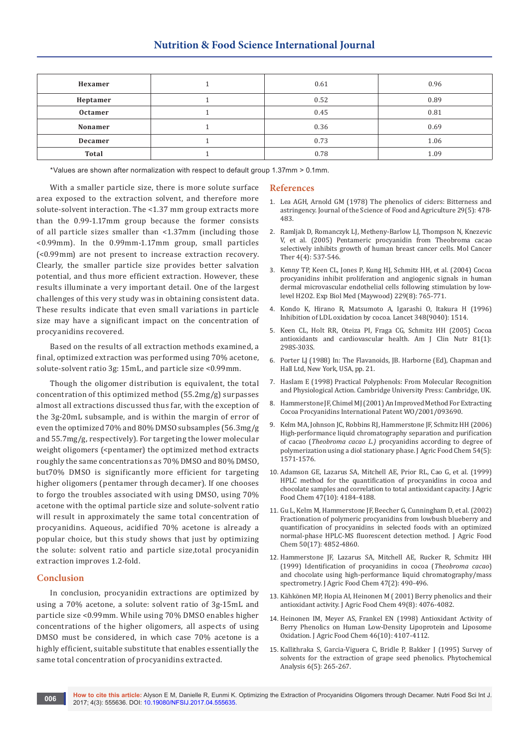| Hexamer  | 0.61 | 0.96 |
|----------|------|------|
| Heptamer | 0.52 | 0.89 |
| Octamer  | 0.45 | 0.81 |
| Nonamer  | 0.36 | 0.69 |
| Decamer  | 0.73 | 1.06 |
| Total    | 0.78 | 1.09 |

\*Values are shown after normalization with respect to default group 1.37mm > 0.1mm.

With a smaller particle size, there is more solute surface area exposed to the extraction solvent, and therefore more solute-solvent interaction. The <1.37 mm group extracts more than the 0.99-1.17mm group because the former consists of all particle sizes smaller than <1.37mm (including those <0.99mm). In the 0.99mm-1.17mm group, small particles (<0.99mm) are not present to increase extraction recovery. Clearly, the smaller particle size provides better salvation potential, and thus more efficient extraction. However, these results illuminate a very important detail. One of the largest challenges of this very study was in obtaining consistent data. These results indicate that even small variations in particle size may have a significant impact on the concentration of procyanidins recovered.

Based on the results of all extraction methods examined, a final, optimized extraction was performed using 70% acetone, solute-solvent ratio 3g: 15mL, and particle size <0.99mm.

Though the oligomer distribution is equivalent, the total concentration of this optimized method (55.2mg/g) surpasses almost all extractions discussed thus far, with the exception of the 3g-20mL subsample, and is within the margin of error of even the optimized 70% and 80% DMSO subsamples (56.3mg/g and 55.7mg/g, respectively). For targeting the lower molecular weight oligomers (<pentamer) the optimized method extracts roughly the same concentrations as 70% DMSO and 80% DMSO, but70% DMSO is significantly more efficient for targeting higher oligomers (pentamer through decamer). If one chooses to forgo the troubles associated with using DMSO, using 70% acetone with the optimal particle size and solute-solvent ratio will result in approximately the same total concentration of procyanidins. Aqueous, acidified 70% acetone is already a popular choice, but this study shows that just by optimizing the solute: solvent ratio and particle size,total procyanidin extraction improves 1.2-fold.

#### **Conclusion**

In conclusion, procyanidin extractions are optimized by using a 70% acetone, a solute: solvent ratio of 3g-15mL and particle size <0.99mm. While using 70% DMSO enables higher concentrations of the higher oligomers, all aspects of using DMSO must be considered, in which case 70% acetone is a highly efficient, suitable substitute that enables essentially the same total concentration of procyanidins extracted.

#### **References**

- 1. [Lea AGH, Arnold GM \(1978\) The phenolics of ciders: Bitterness and](http://onlinelibrary.wiley.com/doi/10.1002/jsfa.2740290512/abstract)  [astringency. Journal of the Science of Food and Agriculture 29\(5\): 478-](http://onlinelibrary.wiley.com/doi/10.1002/jsfa.2740290512/abstract) [483.](http://onlinelibrary.wiley.com/doi/10.1002/jsfa.2740290512/abstract)
- 2. [Ramljak D, Romanczyk LJ, Metheny-Barlow LJ, Thompson N, Knezevic](https://www.ncbi.nlm.nih.gov/pubmed/15827326)  [V, et al. \(2005\) Pentameric procyanidin from Theobroma cacao](https://www.ncbi.nlm.nih.gov/pubmed/15827326)  [selectively inhibits growth of human breast cancer cells. Mol Cancer](https://www.ncbi.nlm.nih.gov/pubmed/15827326)  [Ther 4\(4\): 537-546.](https://www.ncbi.nlm.nih.gov/pubmed/15827326)
- 3. [Kenny TP, Keen CL, Jones P, Kung HJ, Schmitz HH, et al. \(2004\) Cocoa](https://www.ncbi.nlm.nih.gov/pubmed/15337830)  [procyanidins inhibit proliferation and angiogenic signals in human](https://www.ncbi.nlm.nih.gov/pubmed/15337830)  [dermal microvascular endothelial cells following stimulation by low](https://www.ncbi.nlm.nih.gov/pubmed/15337830)[level H2O2. Exp Biol Med \(Maywood\) 229\(8\): 765-771.](https://www.ncbi.nlm.nih.gov/pubmed/15337830)
- 4. [Kondo K, Hirano R, Matsumoto A, Igarashi O, Itakura H \(1996\)](https://www.ncbi.nlm.nih.gov/pubmed/8942794)  [Inhibition of LDL oxidation by cocoa. Lancet 348\(9040\): 1514.](https://www.ncbi.nlm.nih.gov/pubmed/8942794)
- 5. [Keen CL, Holt RR, Oteiza PI, Fraga CG, Schmitz HH \(2005\) Cocoa](https://www.ncbi.nlm.nih.gov/pubmed/15640494)  [antioxidants and cardiovascular health. Am J Clin Nutr 81\(1\):](https://www.ncbi.nlm.nih.gov/pubmed/15640494)  [298S-303S.](https://www.ncbi.nlm.nih.gov/pubmed/15640494)
- 6. Porter LJ (1988) In: The Flavanoids, JB. Harborne (Ed), Chapman and Hall Ltd, New York, USA, pp. 21.
- 7. Haslam E (1998) Practical Polyphenols: From Molecular Recognition and Physiological Action. Cambridge University Press: Cambridge, UK.
- 8. [Hammerstone JF, Chimel MJ \(2001\) An Improved Method For Extracting](https://patentscope.wipo.int/search/en/detail.jsf?docId=WO2001093690)  [Cocoa Procyanidins International Patent WO/2001/093690.](https://patentscope.wipo.int/search/en/detail.jsf?docId=WO2001093690)
- 9. [Kelm MA, Johnson JC, Robbins RJ, Hammerstone JF, Schmitz HH \(2006\)](https://www.ncbi.nlm.nih.gov/pubmed/16506802)  [High-performance liquid chromatography separation and purification](https://www.ncbi.nlm.nih.gov/pubmed/16506802)  of cacao (*Theobroma cacao L.)* [procyanidins according to degree of](https://www.ncbi.nlm.nih.gov/pubmed/16506802)  [polymerization using a diol stationary phase. J Agric Food Chem 54\(5\):](https://www.ncbi.nlm.nih.gov/pubmed/16506802)  [1571-1576.](https://www.ncbi.nlm.nih.gov/pubmed/16506802)
- 10. [Adamson GE, Lazarus SA, Mitchell AE, Prior RL, Cao G, et al. \(1999\)](https://www.ncbi.nlm.nih.gov/pubmed/10552788)  [HPLC method for the quantification of procyanidins in cocoa and](https://www.ncbi.nlm.nih.gov/pubmed/10552788)  [chocolate samples and correlation to total antioxidant capacity. J Agric](https://www.ncbi.nlm.nih.gov/pubmed/10552788)  [Food Chem 47\(10\): 4184-4188.](https://www.ncbi.nlm.nih.gov/pubmed/10552788)
- 11. [Gu L, Kelm M, Hammerstone JF, Beecher G, Cunningham D, et al. \(2002\)](https://www.ncbi.nlm.nih.gov/pubmed/12166971)  [Fractionation of polymeric procyanidins from lowbush blueberry and](https://www.ncbi.nlm.nih.gov/pubmed/12166971)  [quantification of procyanidins in selected foods with an optimized](https://www.ncbi.nlm.nih.gov/pubmed/12166971)  [normal-phase HPLC-MS fluorescent detection method. J Agric Food](https://www.ncbi.nlm.nih.gov/pubmed/12166971)  [Chem 50\(17\): 4852-4860.](https://www.ncbi.nlm.nih.gov/pubmed/12166971)
- 12. [Hammerstone JF, Lazarus SA, Mitchell AE, Rucker R, Schmitz HH](https://www.ncbi.nlm.nih.gov/pubmed/10563922)  [\(1999\) Identification of procyanidins in cocoa \(](https://www.ncbi.nlm.nih.gov/pubmed/10563922)*Theobroma cacao*) [and chocolate using high-performance liquid chromatography/mass](https://www.ncbi.nlm.nih.gov/pubmed/10563922)  [spectrometry. J Agric Food Chem 47\(2\): 490-496.](https://www.ncbi.nlm.nih.gov/pubmed/10563922)
- 13. [Kähkönen MP, Hopia AI, Heinonen M \( 2001\) Berry phenolics and their](https://www.ncbi.nlm.nih.gov/pubmed/11513713)  [antioxidant activity. J Agric Food Chem 49\(8\): 4076-4082.](https://www.ncbi.nlm.nih.gov/pubmed/11513713)
- 14. Heinonen IM, Meyer AS, Frankel EN (1998) Antioxidant Activity of Berry Phenolics on Human Low-Density Lipoprotein and Liposome Oxidation. J Agric Food Chem 46(10): 4107-4112.
- 15. [Kallithraka S, Garcia-Viguera C, Bridle P, Bakker J \(1995\) Survey of](http://onlinelibrary.wiley.com/doi/10.1002/pca.2800060509/abstract)  [solvents for the extraction of grape seed phenolics. Phytochemical](http://onlinelibrary.wiley.com/doi/10.1002/pca.2800060509/abstract)  [Analysis 6\(5\): 265-267.](http://onlinelibrary.wiley.com/doi/10.1002/pca.2800060509/abstract)